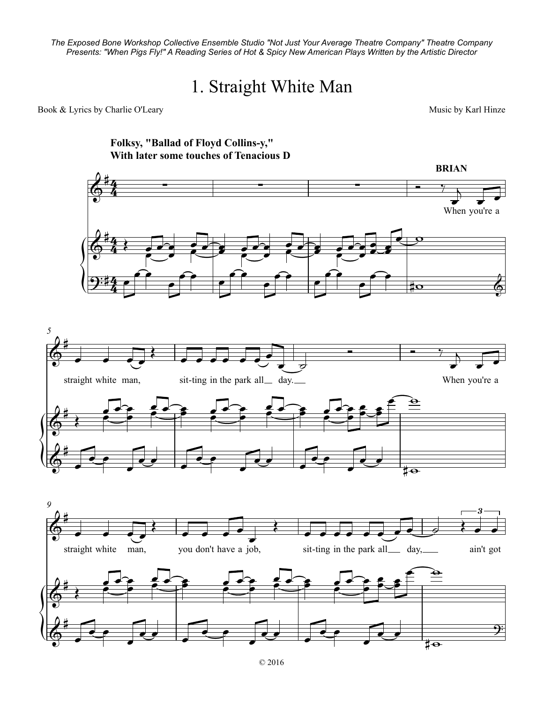*The Exposed Bone Workshop Collective Ensemble Studio "Not Just Your Average Theatre Company" Theatre Company* Expected Bone Women by Collective Encomple Station World Life Worldge Theater Company Theater Company<br>Presents: "When Pigs Fly!" A Reading Series of Hot & Spicy New American Plays Written by the Artistic Director

## 1. Straight White Man

Book & Lyrics by Charlie O'Leary and the Second Second Second Second Music by Karl Hinze

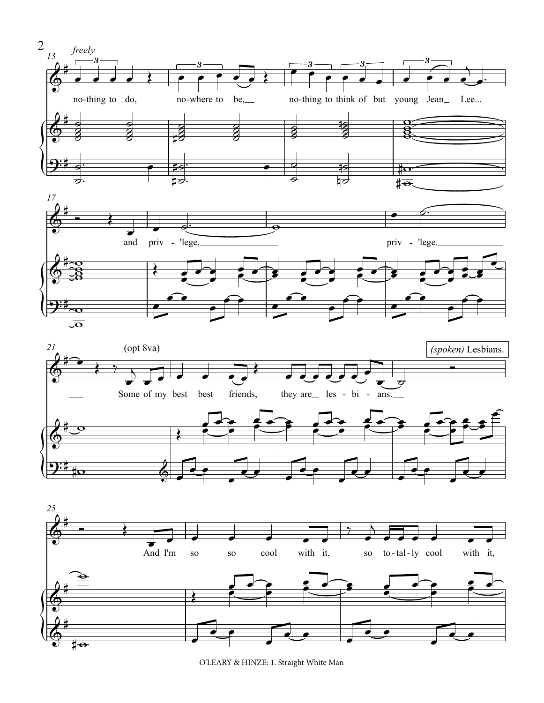

O'LEARY & HINZE: 1. Straight White Man

 $\sharp\bullet$